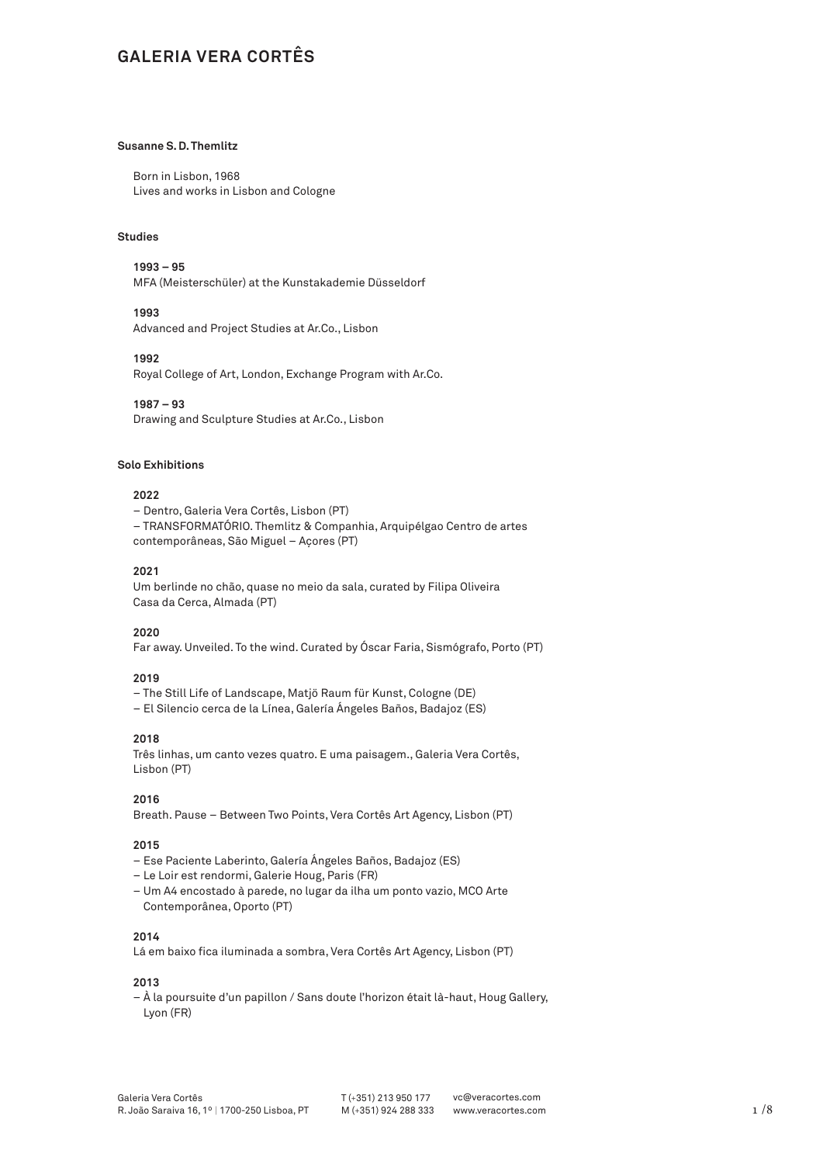# **GALERIA VERA CORTÊS**

# **Susanne S. D. Themlitz**

Born in Lisbon, 1968 Lives and works in Lisbon and Cologne

# **Studies**

**1993 – 95**  MFA (Meisterschüler) at the Kunstakademie Düsseldorf

**1993**

Advanced and Project Studies at Ar.Co., Lisbon

**1992**

Royal College of Art, London, Exchange Program with Ar.Co.

**1987 – 93** Drawing and Sculpture Studies at Ar.Co., Lisbon

### **Solo Exhibitions**

# **2022**

– Dentro, Galeria Vera Cortês, Lisbon (PT) – TRANSFORMATÓRIO. Themlitz & Companhia, Arquipélgao Centro de artes contemporâneas, São Miguel – Açores (PT)

# **2021**

Um berlinde no chão, quase no meio da sala, curated by Filipa Oliveira Casa da Cerca, Almada (PT)

**2020**

Far away. Unveiled. To the wind. Curated by Óscar Faria, Sismógrafo, Porto (PT)

#### **2019**

– The Still Life of Landscape, Matjö Raum für Kunst, Cologne (DE)

– El Silencio cerca de la Línea, Galería Ángeles Baños, Badajoz (ES)

### **2018**

Três linhas, um canto vezes quatro. E uma paisagem., Galeria Vera Cortês, Lisbon (PT)

# **2016**

Breath. Pause – Between Two Points, Vera Cortês Art Agency, Lisbon (PT)

# **2015**

- Ese Paciente Laberinto, Galería Ángeles Baños, Badajoz (ES)
- Le Loir est rendormi, Galerie Houg, Paris (FR)
- Um A4 encostado à parede, no lugar da ilha um ponto vazio, MCO Arte Contemporânea, Oporto (PT)

# **2014**

Lá em baixo fica iluminada a sombra, Vera Cortês Art Agency, Lisbon (PT)

### **2013**

– À la poursuite d'un papillon / Sans doute l'horizon était là-haut, Houg Gallery, Lyon (FR)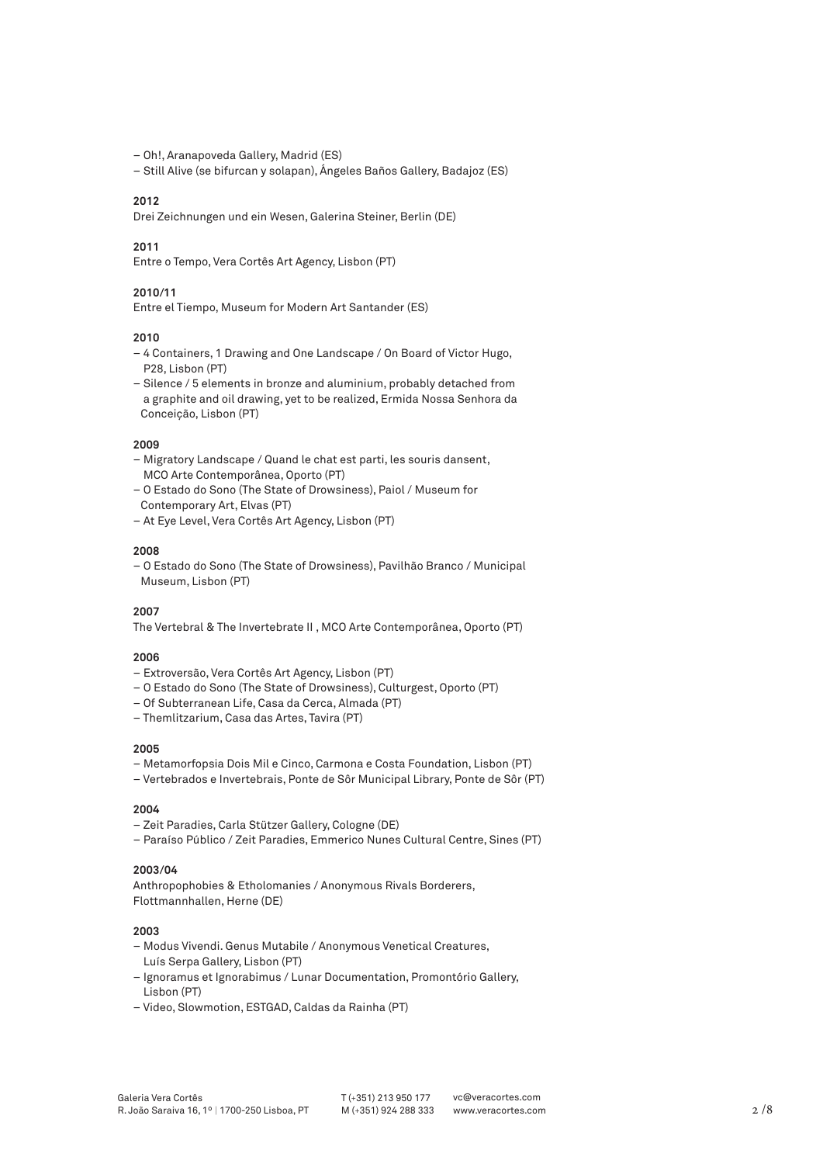– Oh!, Aranapoveda Gallery, Madrid (ES)

– Still Alive (se bifurcan y solapan), Ángeles Baños Gallery, Badajoz (ES)

#### **2012**

Drei Zeichnungen und ein Wesen, Galerina Steiner, Berlin (DE)

#### **2011**

Entre o Tempo, Vera Cortês Art Agency, Lisbon (PT)

# **2010/11**

Entre el Tiempo, Museum for Modern Art Santander (ES)

# **2010**

- 4 Containers, 1 Drawing and One Landscape / On Board of Victor Hugo, P28, Lisbon (PT)
- Silence / 5 elements in bronze and aluminium, probably detached from a graphite and oil drawing, yet to be realized, Ermida Nossa Senhora da Conceição, Lisbon (PT)

#### **2009**

- Migratory Landscape / Quand le chat est parti, les souris dansent, MCO Arte Contemporânea, Oporto (PT)
- O Estado do Sono (The State of Drowsiness), Paiol / Museum for
- Contemporary Art, Elvas (PT)
- At Eye Level, Vera Cortês Art Agency, Lisbon (PT)

### **2008**

– O Estado do Sono (The State of Drowsiness), Pavilhão Branco / Municipal Museum, Lisbon (PT)

### **2007**

The Vertebral & The Invertebrate II , MCO Arte Contemporânea, Oporto (PT)

# **2006**

- Extroversão, Vera Cortês Art Agency, Lisbon (PT)
- O Estado do Sono (The State of Drowsiness), Culturgest, Oporto (PT)
- Of Subterranean Life, Casa da Cerca, Almada (PT)
- Themlitzarium, Casa das Artes, Tavira (PT)

### **2005**

- Metamorfopsia Dois Mil e Cinco, Carmona e Costa Foundation, Lisbon (PT)
- Vertebrados e Invertebrais, Ponte de Sôr Municipal Library, Ponte de Sôr (PT)

### **2004**

- Zeit Paradies, Carla Stützer Gallery, Cologne (DE)
- Paraíso Público / Zeit Paradies, Emmerico Nunes Cultural Centre, Sines (PT)

# **2003/04**

Anthropophobies & Etholomanies / Anonymous Rivals Borderers, Flottmannhallen, Herne (DE)

#### **2003**

- Modus Vivendi. Genus Mutabile / Anonymous Venetical Creatures, Luís Serpa Gallery, Lisbon (PT)
- Ignoramus et Ignorabimus / Lunar Documentation, Promontório Gallery, Lisbon (PT)
- Video, Slowmotion, ESTGAD, Caldas da Rainha (PT)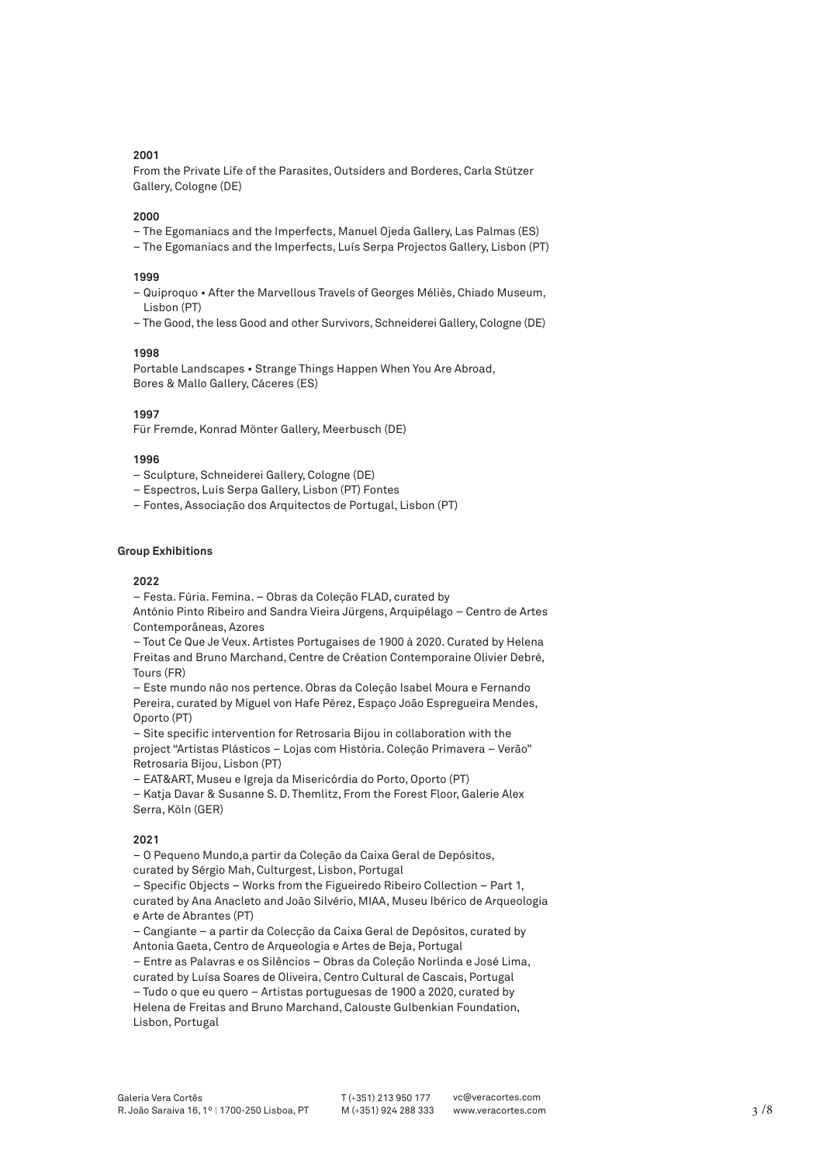From the Private Life of the Parasites, Outsiders and Borderes, Carla Stützer Gallery, Cologne (DE)

#### **2000**

- The Egomaniacs and the Imperfects, Manuel Ojeda Gallery, Las Palmas (ES)
- The Egomaniacs and the Imperfects, Luís Serpa Projectos Gallery, Lisbon (PT)

#### **1999**

- Quiproquo After the Marvellous Travels of Georges Méliès, Chiado Museum, Lisbon (PT)
- The Good, the less Good and other Survivors, Schneiderei Gallery, Cologne (DE)

#### **1998**

Portable Landscapes • Strange Things Happen When You Are Abroad, Bores & Mallo Gallery, Cáceres (ES)

### **1997**

Für Fremde, Konrad Mönter Gallery, Meerbusch (DE)

#### **1996**

- Sculpture, Schneiderei Gallery, Cologne (DE)
- Espectros, Luís Serpa Gallery, Lisbon (PT) Fontes
- Fontes, Associação dos Arquitectos de Portugal, Lisbon (PT)

# **Group Exhibitions**

#### **2022**

– Festa. Fúria. Femina. – Obras da Coleção FLAD, curated by António Pinto Ribeiro and Sandra Vieira Jürgens, Arquipélago – Centro de Artes

Contemporâneas, Azores – Tout Ce Que Je Veux. Artistes Portugaises de 1900 à 2020. Curated by Helena Freitas and Bruno Marchand, Centre de Création Contemporaine Olivier Debré,

Tours (FR)

– Este mundo não nos pertence. Obras da Coleção Isabel Moura e Fernando Pereira, curated by Miguel von Hafe Pérez, Espaço João Espregueira Mendes, Oporto (PT)

– Site specific intervention for Retrosaria Bijou in collaboration with the project "Artistas Plásticos – Lojas com História. Coleção Primavera – Verão" Retrosaria Bijou, Lisbon (PT)

– EAT&ART, Museu e Igreja da Misericórdia do Porto, Oporto (PT)

– Katja Davar & Susanne S. D. Themlitz, From the Forest Floor, Galerie Alex Serra, Köln (GER)

# **2021**

– O Pequeno Mundo,a partir da Coleção da Caixa Geral de Depósitos, curated by Sérgio Mah, Culturgest, Lisbon, Portugal

– Specific Objects – Works from the Figueiredo Ribeiro Collection – Part 1, curated by Ana Anacleto and João Silvério, MIAA, Museu Ibérico de Arqueologia e Arte de Abrantes (PT)

– Cangiante – a partir da Colecção da Caixa Geral de Depósitos, curated by Antonia Gaeta, Centro de Arqueologia e Artes de Beja, Portugal

– Entre as Palavras e os Silêncios – Obras da Coleção Norlinda e José Lima, curated by Luísa Soares de Oliveira, Centro Cultural de Cascais, Portugal – Tudo o que eu quero – Artistas portuguesas de 1900 a 2020, curated by

Helena de Freitas and Bruno Marchand, Calouste Gulbenkian Foundation, Lisbon, Portugal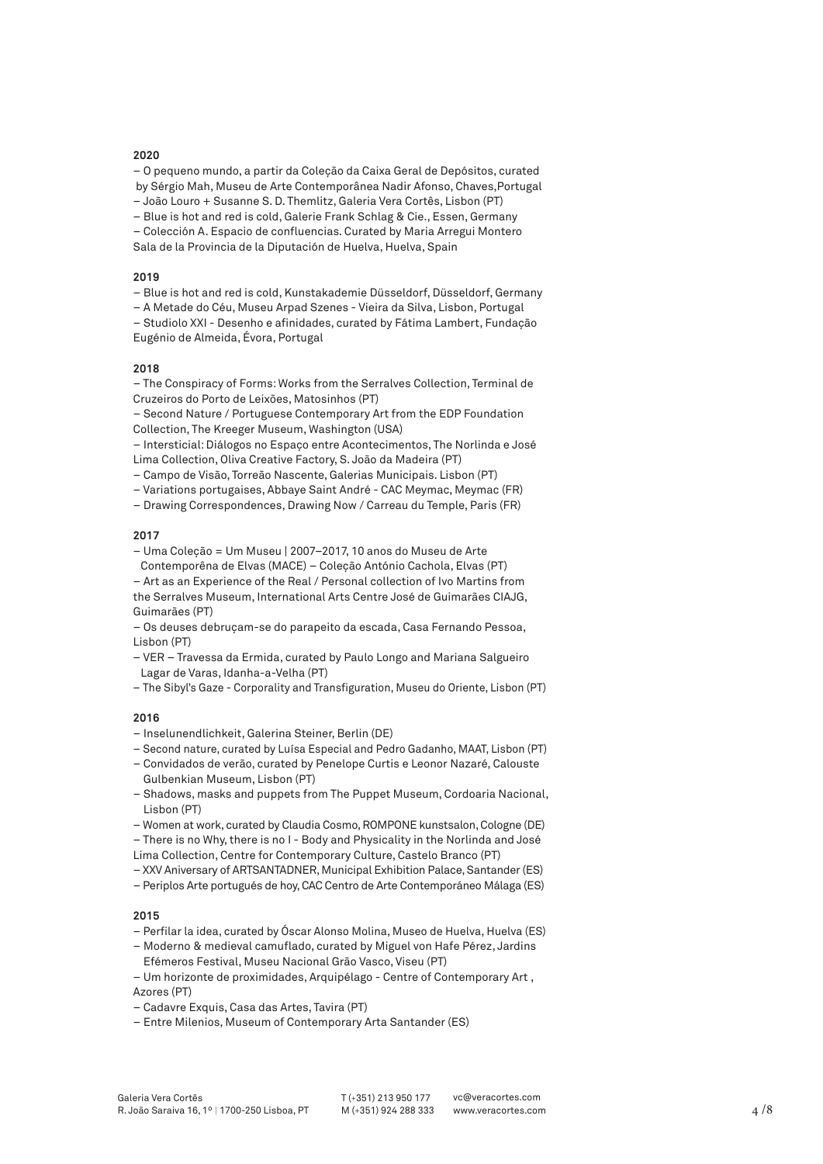– O pequeno mundo, a partir da Coleção da Caixa Geral de Depósitos, curated by Sérgio Mah, Museu de Arte Contemporânea Nadir Afonso, Chaves,Portugal

– João Louro + Susanne S. D. Themlitz, Galeria Vera Cortês, Lisbon (PT)

– Blue is hot and red is cold, Galerie Frank Schlag & Cie., Essen, Germany

– Colección A. Espacio de confluencias. Curated by Maria Arregui Montero Sala de la Provincia de la Diputación de Huelva, Huelva, Spain

### **2019**

– Blue is hot and red is cold, Kunstakademie Düsseldorf, Düsseldorf, Germany

– A Metade do Céu, Museu Arpad Szenes - Vieira da Silva, Lisbon, Portugal

– Studiolo XXI - Desenho e afinidades, curated by Fátima Lambert, Fundação Eugénio de Almeida, Évora, Portugal

#### **2018**

– The Conspiracy of Forms: Works from the Serralves Collection, Terminal de Cruzeiros do Porto de Leixões, Matosinhos (PT)

– Second Nature / Portuguese Contemporary Art from the EDP Foundation Collection, The Kreeger Museum, Washington (USA)

– Intersticial: Diálogos no Espaço entre Acontecimentos, The Norlinda e José Lima Collection, Oliva Creative Factory, S. João da Madeira (PT)

– Campo de Visão, Torreão Nascente, Galerias Municipais. Lisbon (PT)

– Variations portugaises, Abbaye Saint André - CAC Meymac, Meymac (FR)

– Drawing Correspondences, Drawing Now / Carreau du Temple, Paris (FR)

# **2017**

– Uma Coleção = Um Museu | 2007–2017, 10 anos do Museu de Arte Contemporêna de Elvas (MACE) – Coleção António Cachola, Elvas (PT)

– Art as an Experience of the Real / Personal collection of Ivo Martins from the Serralves Museum, International Arts Centre José de Guimarães CIAJG, Guimarães (PT)

– Os deuses debruçam-se do parapeito da escada, Casa Fernando Pessoa, Lisbon (PT)

*–* VER – Travessa da Ermida, curated by Paulo Longo and Mariana Salgueiro Lagar de Varas, Idanha-a-Velha (PT)

*–* The Sibyl's Gaze - Corporality and Transfiguration, Museu do Oriente, Lisbon (PT)

# **2016**

– Inselunendlichkeit, Galerina Steiner, Berlin (DE)

- Second nature, curated by Luísa Especial and Pedro Gadanho, MAAT, Lisbon (PT)
- Convidados de verão, curated by Penelope Curtis e Leonor Nazaré, Calouste Gulbenkian Museum, Lisbon (PT)
- Shadows, masks and puppets from The Puppet Museum, Cordoaria Nacional, Lisbon (PT)
- Women at work, curated by Claudia Cosmo, ROMPONE kunstsalon, Cologne (DE)

– There is no Why, there is no I - Body and Physicality in the Norlinda and José Lima Collection, Centre for Contemporary Culture, Castelo Branco (PT)

– XXV Aniversary of ARTSANTADNER, Municipal Exhibition Palace, Santander (ES)

– Periplos Arte portugués de hoy, CAC Centro de Arte Contemporáneo Málaga (ES)

# **2015**

– Perfilar la idea, curated by Óscar Alonso Molina, Museo de Huelva, Huelva (ES)

– Moderno & medieval camuflado, curated by Miguel von Hafe Pérez, Jardins Efémeros Festival, Museu Nacional Grão Vasco, Viseu (PT)

– Um horizonte de proximidades, Arquipélago - Centre of Contemporary Art , Azores (PT)

- Cadavre Exquis, Casa das Artes, Tavira (PT)
- Entre Milenios, Museum of Contemporary Arta Santander (ES)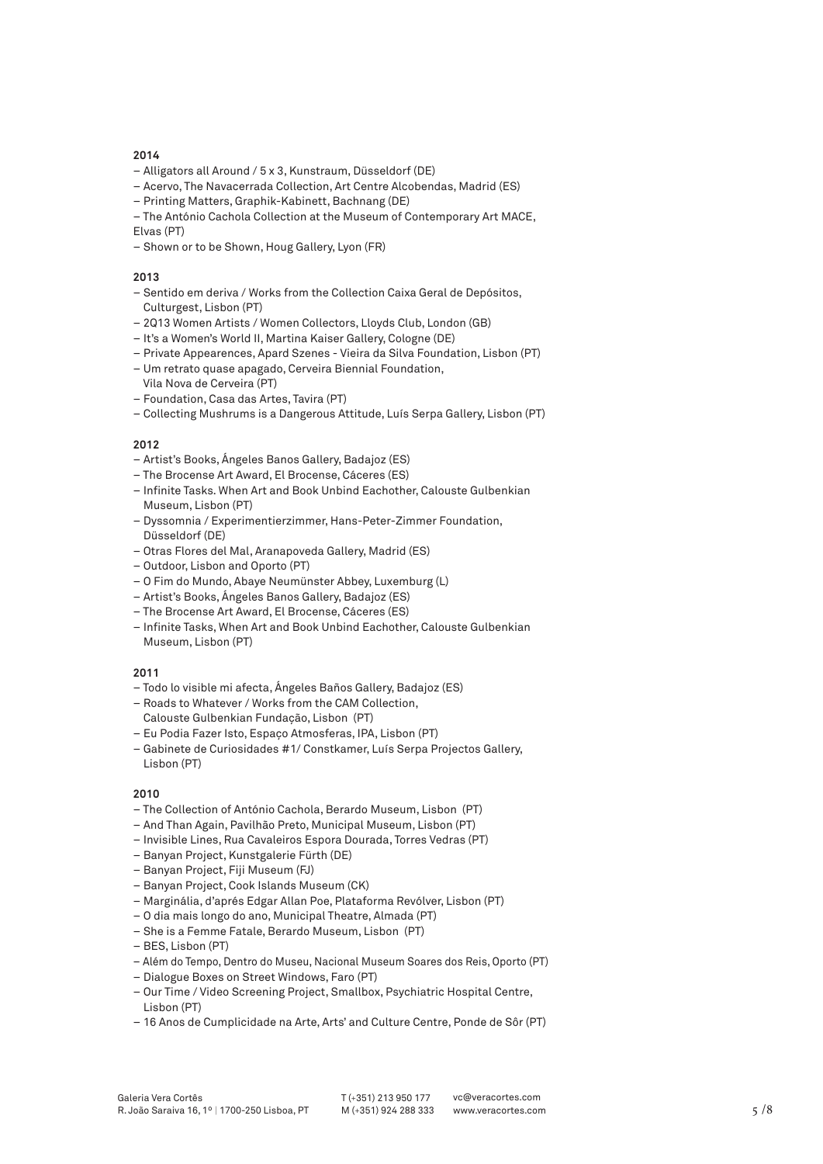- Alligators all Around / 5 x 3, Kunstraum, Düsseldorf (DE)
- Acervo, The Navacerrada Collection, Art Centre Alcobendas, Madrid (ES)
- Printing Matters, Graphik-Kabinett, Bachnang (DE)
- The António Cachola Collection at the Museum of Contemporary Art MACE, Elvas (PT)
- Shown or to be Shown, Houg Gallery, Lyon (FR)

# **2013**

- Sentido em deriva / Works from the Collection Caixa Geral de Depósitos, Culturgest, Lisbon (PT)
- 2Q13 Women Artists / Women Collectors, Lloyds Club, London (GB)
- It's a Women's World II, Martina Kaiser Gallery, Cologne (DE)
- Private Appearences, Apard Szenes Vieira da Silva Foundation, Lisbon (PT)
- Um retrato quase apagado, Cerveira Biennial Foundation, Vila Nova de Cerveira (PT)
- Foundation, Casa das Artes, Tavira (PT)
- Collecting Mushrums is a Dangerous Attitude, Luís Serpa Gallery, Lisbon (PT)

# **2012**

- Artist's Books, Ángeles Banos Gallery, Badajoz (ES)
- The Brocense Art Award, El Brocense, Cáceres (ES)
- Infinite Tasks. When Art and Book Unbind Eachother, Calouste Gulbenkian Museum, Lisbon (PT)
- Dyssomnia / Experimentierzimmer, Hans-Peter-Zimmer Foundation, Düsseldorf (DE)
- Otras Flores del Mal, Aranapoveda Gallery, Madrid (ES)
- Outdoor, Lisbon and Oporto (PT)
- O Fim do Mundo, Abaye Neumünster Abbey, Luxemburg (L)
- Artist's Books, Ángeles Banos Gallery, Badajoz (ES)
- The Brocense Art Award, El Brocense, Cáceres (ES)
- Infinite Tasks, When Art and Book Unbind Eachother, Calouste Gulbenkian Museum, Lisbon (PT)

# **2011**

- Todo lo visible mi afecta, Ángeles Baños Gallery, Badajoz (ES)
- Roads to Whatever / Works from the CAM Collection, Calouste Gulbenkian Fundação, Lisbon (PT)
- Eu Podia Fazer Isto, Espaço Atmosferas, IPA, Lisbon (PT)
- Gabinete de Curiosidades #1/ Constkamer, Luís Serpa Projectos Gallery, Lisbon (PT)

# **2010**

- The Collection of António Cachola, Berardo Museum, Lisbon (PT)
- And Than Again, Pavilhão Preto, Municipal Museum, Lisbon (PT)
- Invisible Lines, Rua Cavaleiros Espora Dourada, Torres Vedras (PT)
- Banyan Project, Kunstgalerie Fürth (DE)
- Banyan Project, Fiji Museum (FJ)
- Banyan Project, Cook Islands Museum (CK)
- Marginália, d'aprés Edgar Allan Poe, Plataforma Revólver, Lisbon (PT)
- O dia mais longo do ano, Municipal Theatre, Almada (PT)
- She is a Femme Fatale, Berardo Museum, Lisbon (PT)
- BES, Lisbon (PT)
- Além do Tempo, Dentro do Museu, Nacional Museum Soares dos Reis, Oporto (PT)
- Dialogue Boxes on Street Windows, Faro (PT)
- Our Time / Video Screening Project, Smallbox, Psychiatric Hospital Centre, Lisbon (PT)
- 16 Anos de Cumplicidade na Arte, Arts' and Culture Centre, Ponde de Sôr (PT)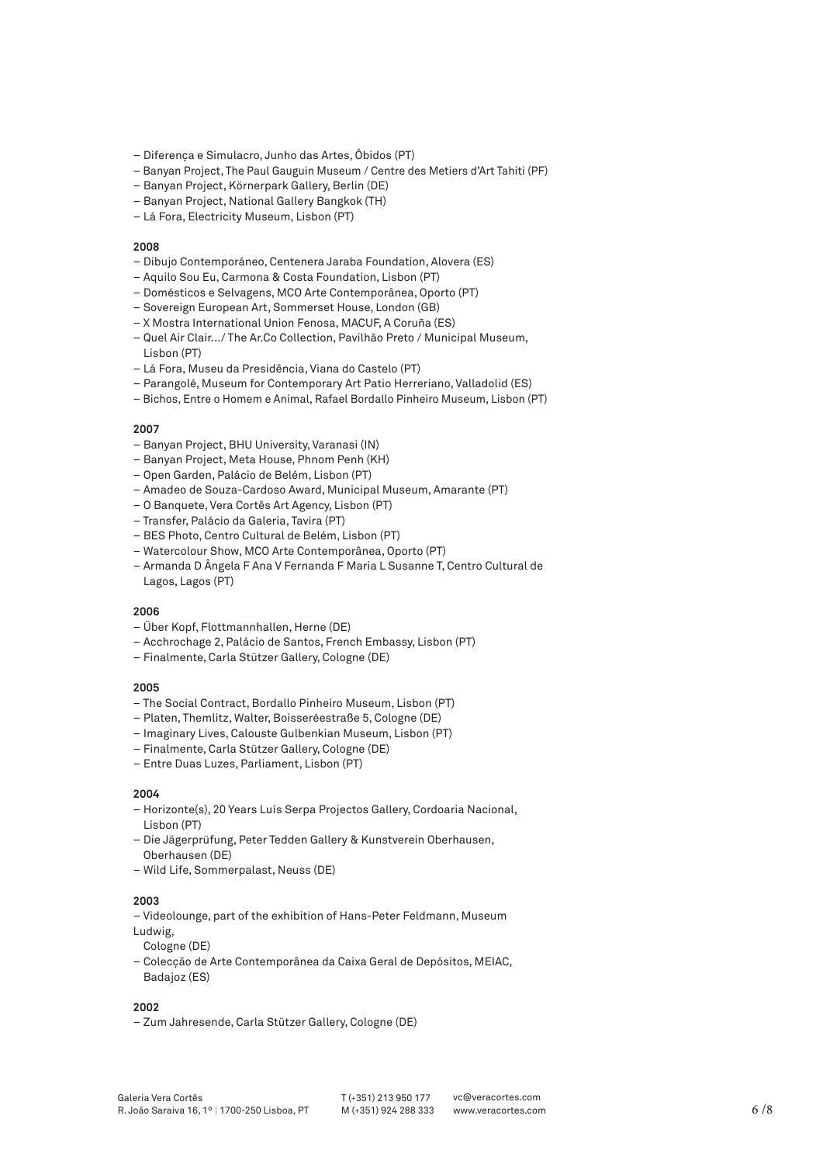- Diferença e Simulacro, Junho das Artes, Óbidos (PT)
- Banyan Project, The Paul Gauguin Museum / Centre des Metiers d'Art Tahiti (PF)
- Banyan Project, Körnerpark Gallery, Berlin (DE)
- Banyan Project, National Gallery Bangkok (TH)
- Lá Fora, Electricity Museum, Lisbon (PT)

- Dibujo Contemporáneo, Centenera Jaraba Foundation, Alovera (ES)
- Aquilo Sou Eu, Carmona & Costa Foundation, Lisbon (PT)
- Domésticos e Selvagens, MCO Arte Contemporânea, Oporto (PT)
- Sovereign European Art, Sommerset House, London (GB)
- X Mostra International Union Fenosa, MACUF, A Coruña (ES)
- Quel Air Clair.../ The Ar.Co Collection, Pavilhão Preto / Municipal Museum, Lisbon (PT)
- Lá Fora, Museu da Presidência, Viana do Castelo (PT)
- Parangolé, Museum for Contemporary Art Patio Herreriano, Valladolid (ES)
- Bichos, Entre o Homem e Animal, Rafael Bordallo Pinheiro Museum, Lisbon (PT)

### **2007**

- Banyan Project, BHU University, Varanasi (IN)
- Banyan Project, Meta House, Phnom Penh (KH)
- Open Garden, Palácio de Belém, Lisbon (PT)
- Amadeo de Souza-Cardoso Award, Municipal Museum, Amarante (PT)
- O Banquete, Vera Cortês Art Agency, Lisbon (PT)
- Transfer, Palácio da Galeria, Tavira (PT)
- BES Photo, Centro Cultural de Belém, Lisbon (PT)
- Watercolour Show, MCO Arte Contemporânea, Oporto (PT)
- Armanda D Ângela F Ana V Fernanda F Maria L Susanne T, Centro Cultural de Lagos, Lagos (PT)

### **2006**

- Über Kopf, Flottmannhallen, Herne (DE)
- Acchrochage 2, Palácio de Santos, French Embassy, Lisbon (PT)
- Finalmente, Carla Stützer Gallery, Cologne (DE)

### **2005**

- The Social Contract, Bordallo Pinheiro Museum, Lisbon (PT)
- Platen, Themlitz, Walter, Boisseréestraße 5, Cologne (DE)
- Imaginary Lives, Calouste Gulbenkian Museum, Lisbon (PT)
- Finalmente, Carla Stützer Gallery, Cologne (DE)
- Entre Duas Luzes, Parliament, Lisbon (PT)

### **2004**

- Horizonte(s), 20 Years Luís Serpa Projectos Gallery, Cordoaria Nacional, Lisbon (PT)
- Die Jägerprüfung, Peter Tedden Gallery & Kunstverein Oberhausen, Oberhausen (DE)
- Wild Life, Sommerpalast, Neuss (DE)

#### **2003**

- Videolounge, part of the exhibition of Hans-Peter Feldmann, Museum Ludwig,
- Cologne (DE)
- Colecção de Arte Contemporânea da Caixa Geral de Depósitos, MEIAC, Badajoz (ES)

# **2002**

– Zum Jahresende, Carla Stützer Gallery, Cologne (DE)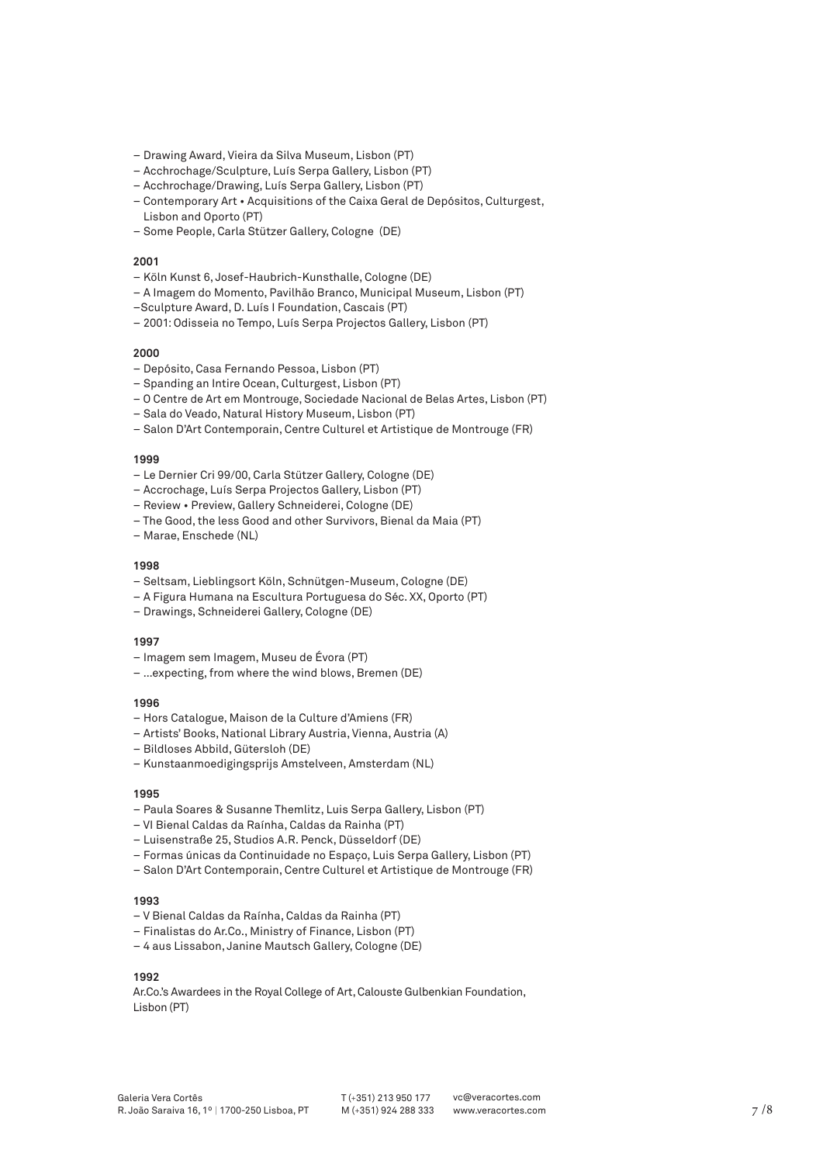- Drawing Award, Vieira da Silva Museum, Lisbon (PT)
- Acchrochage/Sculpture, Luís Serpa Gallery, Lisbon (PT)
- Acchrochage/Drawing, Luís Serpa Gallery, Lisbon (PT)
- Contemporary Art Acquisitions of the Caixa Geral de Depósitos, Culturgest, Lisbon and Oporto (PT)
- Some People, Carla Stützer Gallery, Cologne (DE)

- Köln Kunst 6, Josef-Haubrich-Kunsthalle, Cologne (DE)
- A Imagem do Momento, Pavilhão Branco, Municipal Museum, Lisbon (PT)
- –Sculpture Award, D. Luís I Foundation, Cascais (PT)
- 2001: Odisseia no Tempo, Luís Serpa Projectos Gallery, Lisbon (PT)

#### **2000**

- Depósito, Casa Fernando Pessoa, Lisbon (PT)
- Spanding an Intire Ocean, Culturgest, Lisbon (PT)
- O Centre de Art em Montrouge, Sociedade Nacional de Belas Artes, Lisbon (PT)
- Sala do Veado, Natural History Museum, Lisbon (PT)
- Salon D'Art Contemporain, Centre Culturel et Artistique de Montrouge (FR)

#### **1999**

- Le Dernier Cri 99/00, Carla Stützer Gallery, Cologne (DE)
- Accrochage, Luís Serpa Projectos Gallery, Lisbon (PT)
- Review Preview, Gallery Schneiderei, Cologne (DE)
- The Good, the less Good and other Survivors, Bienal da Maia (PT)
- Marae, Enschede (NL)

#### **1998**

- Seltsam, Lieblingsort Köln, Schnütgen-Museum, Cologne (DE)
- A Figura Humana na Escultura Portuguesa do Séc. XX, Oporto (PT)
- Drawings, Schneiderei Gallery, Cologne (DE)

#### **1997**

- Imagem sem Imagem, Museu de Évora (PT)
- …expecting, from where the wind blows, Bremen (DE)

#### **1996**

- Hors Catalogue, Maison de la Culture d'Amiens (FR)
- Artists' Books, National Library Austria, Vienna, Austria (A)
- Bildloses Abbild, Gütersloh (DE)
- Kunstaanmoedigingsprijs Amstelveen, Amsterdam (NL)

### **1995**

- Paula Soares & Susanne Themlitz, Luis Serpa Gallery, Lisbon (PT)
- VI Bienal Caldas da Raínha, Caldas da Rainha (PT)
- Luisenstraße 25, Studios A.R. Penck, Düsseldorf (DE)
- Formas únicas da Continuidade no Espaço, Luis Serpa Gallery, Lisbon (PT)
- Salon D'Art Contemporain, Centre Culturel et Artistique de Montrouge (FR)

#### **1993**

- V Bienal Caldas da Raínha, Caldas da Rainha (PT)
- Finalistas do Ar.Co., Ministry of Finance, Lisbon (PT)
- 4 aus Lissabon, Janine Mautsch Gallery, Cologne (DE)

# **1992**

Ar.Co.'s Awardees in the Royal College of Art, Calouste Gulbenkian Foundation, Lisbon (PT)